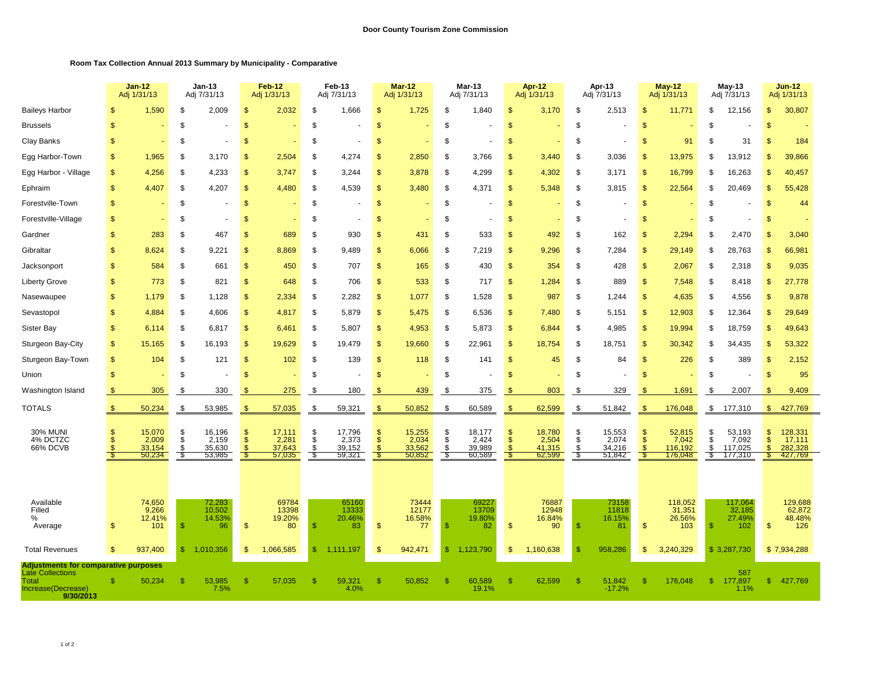## **Room Tax Collection Annual 2013 Summary by Municipality - Comparative**

|                                                                                                                    |                                                | $Jan-12$<br>Adj 1/31/13          |              | $Jan-13$<br>Adj 7/31/13          |                                 | Feb-12<br>Adj 1/31/13          |                | Feb-13<br>Adj 7/31/13          |                    | Mar-12<br>Adj 1/31/13          |              | Mar-13<br>Adj 7/31/13         |                     | Apr-12<br>Adj 1/31/13          |                | Apr-13<br>Adj 7/31/13          |                     | $May-12$<br>Adj 1/31/13            |              | $May-13$<br>Adj 7/31/13            |                                 | <b>Jun-12</b><br>Adj 1/31/13       |
|--------------------------------------------------------------------------------------------------------------------|------------------------------------------------|----------------------------------|--------------|----------------------------------|---------------------------------|--------------------------------|----------------|--------------------------------|--------------------|--------------------------------|--------------|-------------------------------|---------------------|--------------------------------|----------------|--------------------------------|---------------------|------------------------------------|--------------|------------------------------------|---------------------------------|------------------------------------|
| <b>Baileys Harbor</b>                                                                                              | \$                                             | 1,590                            | \$           | 2,009                            | $\sqrt{2}$                      | 2,032                          | \$             | 1,666                          | $\mathfrak{F}$     | 1,725                          | \$           | 1,840                         | \$                  | 3,170                          | \$             | 2,513                          | $\mathcal{S}$       | 11,771                             | \$           | 12,156                             | $\sqrt[6]{3}$                   | 30,807                             |
| <b>Brussels</b>                                                                                                    | $\mathfrak{L}$                                 |                                  | \$           |                                  | $\mathcal{S}$                   |                                | \$             |                                | $\sqrt{3}$         |                                | \$           |                               | $\mathsf{\$}$       |                                | \$             |                                | $\mathcal{S}$       |                                    | S            |                                    | <sup>\$</sup>                   |                                    |
| Clay Banks                                                                                                         | \$                                             |                                  | \$           |                                  | $\mathcal{S}$                   |                                | \$             |                                | $\mathfrak{s}$     |                                | \$           |                               | \$                  |                                | \$             |                                | \$                  | 91                                 | S            | 31                                 | \$                              | 184                                |
| Egg Harbor-Town                                                                                                    | <b>S</b>                                       | 1,965                            | \$           | 3,170                            | S                               | 2,504                          | \$             | 4,274                          | <sub>\$</sub>      | 2,850                          | \$           | 3,766                         | $\mathbb{S}$        | 3,440                          | \$             | 3,036                          | S                   | 13,975                             | \$           | 13,912                             | $\mathcal{S}$                   | 39,866                             |
| Egg Harbor - Village                                                                                               | $\mathbb{S}$                                   | 4,256                            | \$           | 4,233                            | $\mathcal{S}$                   | 3,747                          | \$             | 3,244                          | $\mathfrak{F}$     | 3,878                          | \$           | 4,299                         | \$                  | 4,302                          | \$             | 3,171                          | \$                  | 16,799                             | S            | 16,263                             | $\mathbf{s}$                    | 40,457                             |
| Ephraim                                                                                                            | $\mathbb{S}$                                   | 4,407                            | \$           | 4,207                            | $\mathfrak{s}$                  | 4,480                          | \$             | 4,539                          | $\mathfrak{F}$     | 3,480                          | \$           | 4,371                         | \$                  | 5,348                          | \$             | 3,815                          | $\mathcal{S}$       | 22,564                             | S            | 20,469                             | $\mathfrak{S}$                  | 55,428                             |
| Forestville-Town                                                                                                   | $\mathbb{S}$                                   |                                  | \$           |                                  | $\sqrt{2}$                      |                                | \$             |                                | $\sqrt{2}$         |                                | \$           |                               | \$                  |                                | \$             |                                | $\mathcal{S}$       |                                    | \$           |                                    | $\mathbf{s}$                    | 44                                 |
| Forestville-Village                                                                                                | <b>S</b>                                       |                                  | \$           |                                  | $\mathbb{S}$                    |                                | \$             |                                | <sup>\$</sup>      |                                | \$           |                               | $\mathbb{S}$        |                                | \$             |                                | <sup>\$</sup>       |                                    | S            |                                    | \$                              |                                    |
| Gardner                                                                                                            | \$                                             | 283                              | \$           | 467                              | $\mathcal{S}$                   | 689                            | \$             | 930                            | $\mathfrak{s}$     | 431                            | \$           | 533                           | \$                  | 492                            | <sup>\$</sup>  | 162                            | \$                  | 2,294                              | \$           | 2,470                              |                                 | 3,040                              |
| Gibraltar                                                                                                          | \$                                             | 8,624                            | \$           | 9,221                            | $\mathcal{S}$                   | 8,869                          | \$             | 9,489                          | $\mathfrak{F}$     | 6,066                          | \$           | 7,219                         | \$                  | 9,296                          | \$             | 7,284                          | $\mathcal{S}$       | 29,149                             | S            | 28,763                             | $\mathfrak{s}$                  | 66,981                             |
| Jacksonport                                                                                                        | \$                                             | 584                              | \$           | 661                              | $\mathcal{S}$                   | 450                            | \$             | 707                            | $\mathfrak{F}$     | 165                            | \$           | 430                           | \$                  | 354                            | \$             | 428                            | $\mathcal{S}$       | 2,067                              | S            | 2,318                              | $\mathfrak{s}$                  | 9,035                              |
| <b>Liberty Grove</b>                                                                                               | \$.                                            | 773                              | \$           | 821                              | $\mathbf{s}$                    | 648                            | \$             | 706                            | $\mathfrak{s}$     | 533                            | \$           | 717                           | \$                  | 1,284                          | \$             | 889                            | $\mathcal{S}$       | 7,548                              | S            | 8,418                              | \$                              | 27,778                             |
| Nasewaupee                                                                                                         | \$                                             | 1,179                            | \$           | 1,128                            | $\mathbf{s}$                    | 2,334                          | \$             | 2,282                          | $\mathfrak{F}$     | 1,077                          | \$           | 1,528                         | $\mathsf{\$}$       | 987                            | \$             | 1,244                          | \$                  | 4,635                              | S            | 4,556                              | $\mathbb{S}$                    | 9,878                              |
| Sevastopol                                                                                                         | \$                                             | 4,884                            | \$           | 4,606                            | $\sqrt{2}$                      | 4,817                          | \$             | 5,879                          | $\sqrt{2}$         | 5,475                          | \$           | 6,536                         | \$                  | 7,480                          | \$             | 5,151                          | \$                  | 12,903                             | S            | 12,364                             | $\mathfrak{s}$                  | 29,649                             |
| Sister Bay                                                                                                         | \$                                             | 6,114                            | \$           | 6,817                            | $\sqrt[6]{3}$                   | 6,461                          | \$             | 5,807                          | $\frac{1}{2}$      | 4,953                          | \$           | 5,873                         | \$                  | 6,844                          | \$             | 4,985                          | $\mathcal{S}$       | 19,994                             | S            | 18,759                             | $\mathbb{S}$                    | 49,643                             |
| Sturgeon Bay-City                                                                                                  | \$                                             | 15,165                           | \$           | 16,193                           | $\mathcal{S}$                   | 19,629                         | \$             | 19,479                         | $\mathfrak{F}$     | 19,660                         | \$           | 22,961                        | \$                  | 18,754                         | \$             | 18,751                         | \$                  | 30,342                             | S            | 34,435                             | <sup>\$</sup>                   | 53,322                             |
| Sturgeon Bay-Town                                                                                                  | $\mathbb{S}$                                   | 104                              | \$           | 121                              | $\mathcal{S}$                   | 102                            | \$             | 139                            | $\sqrt{2}$         | 118                            | \$           | 141                           | \$                  | 45                             | \$             | 84                             | \$                  | 226                                | S            | 389                                | <sup>\$</sup>                   | 2,152                              |
| Union                                                                                                              | \$                                             |                                  | \$           |                                  | $\mathcal{S}$                   |                                | \$             |                                | $\frac{1}{2}$      |                                | \$           |                               | \$                  |                                | \$             |                                | \$                  |                                    | \$           |                                    | <b>S</b>                        | 95                                 |
| Washington Island                                                                                                  | \$                                             | 305                              | \$           | 330                              | \$                              | 275                            | \$             | 180                            | \$                 | 439                            | \$           | 375                           | \$.                 | 803                            | \$             | 329                            | \$                  | 1,691                              | \$           | 2,007                              | -S                              | 9,409                              |
| <b>TOTALS</b>                                                                                                      | $\mathfrak{s}$                                 | 50,234                           | \$           | 53,985                           | <sup>\$</sup>                   | 57,035                         | \$             | 59,321                         | $\mathfrak{s}$     | 50,852                         | \$           | 60,589                        | $\frac{1}{2}$       | 62,599                         | \$             | 51,842                         | S                   | 176,048                            | \$           | 177,310                            | $\mathsf{\$}$                   | 427,769                            |
| <b>30% MUNI</b><br>4% DCTZC<br>66% DCVB                                                                            | $\mathbb{S}$<br>$\mathbb{S}$<br>$\mathfrak{s}$ | 15,070<br>2,009<br>33,154        | \$<br>\$     | 16,196<br>2,159<br>35,630        | $\frac{1}{2}$<br>$\mathfrak{s}$ | 17,111<br>2,281<br>37,643      | \$<br>\$<br>\$ | 17,796<br>2,373<br>39,152      | \$<br>$\mathbf{s}$ | 15,255<br>2,034<br>33,562      | \$<br>\$     | 18,177<br>2,424<br>39,989     | \$<br>$\mathsf{\$}$ | 18,780<br>2,504<br>41,315      | \$<br>\$<br>\$ | 15,553<br>2,074<br>34,216      | -\$<br>$\mathbf{s}$ | 52,815<br>7,042<br>116,192         | \$<br>-S     | 53,193<br>7,092<br>117,025         | $\sqrt[6]{3}$<br>$\mathfrak{S}$ | 128,331<br>17,111<br>282,328       |
|                                                                                                                    | -\$                                            | 50,234                           | -\$          | 53,985                           | -\$                             | 57,035                         | -\$            | 59,321                         |                    | 50,852                         | -\$          | 60,589                        | -\$                 | 62,599                         | $\sqrt[3]{5}$  | 51,842                         | -36                 | 176,048                            | -S           | 177,310                            | S                               | 427,769                            |
| Available<br>Filled<br>%<br>Average                                                                                | \$                                             | 74,650<br>9,266<br>12.41%<br>101 | -S           | 72,283<br>10,502<br>14.53%<br>96 | $\sqrt{2}$                      | 69784<br>13398<br>19.20%<br>80 | $\mathbb{S}$   | 65160<br>13333<br>20.46%<br>83 | $\mathfrak{F}$     | 73444<br>12177<br>16.58%<br>77 | $\mathbb{S}$ | 6922<br>13709<br>19.80%<br>82 | $\mathsf{\$}$       | 76887<br>12948<br>16.84%<br>90 | \$             | 73158<br>11818<br>16.15%<br>81 | $\mathcal{S}$       | 118,052<br>31,351<br>26.56%<br>103 | $\mathbb{S}$ | 117,064<br>32,185<br>27.49%<br>102 | $\mathfrak{s}$                  | 129,688<br>62,872<br>48.48%<br>126 |
| <b>Total Revenues</b>                                                                                              | \$                                             | 937,400                          | $\mathbb{S}$ | 1,010,356                        | <sup>\$</sup>                   | 1,066,585                      | $\mathbb{S}$   | 1,111,197                      | $\mathfrak{s}$     | 942,471                        | $\mathbb{S}$ | 1,123,790                     | $\mathfrak{s}$      | 1,160,638                      | \$             | 958,286                        | S                   | 3,240,329                          |              | \$3,287,730                        |                                 | \$7,934,288                        |
| <b>Adjustments for comparative purposes</b><br><b>Late Collections</b><br>Total<br>Increase(Decrease)<br>9/30/2013 |                                                | 50,234                           | \$.          | 53,985<br>7.5%                   | -S                              | 57,035                         | £.             | 59,321<br>4.0%                 | -\$                | 50,852                         | £.           | 60,589<br>19.1%               | £.                  | 62,599                         | <sup>\$</sup>  | 51,842<br>$-17.2%$             | £.                  | 176,048                            | $\mathbb{S}$ | 587<br>177,897<br>1.1%             | $\mathbb{S}$                    | 427,769                            |